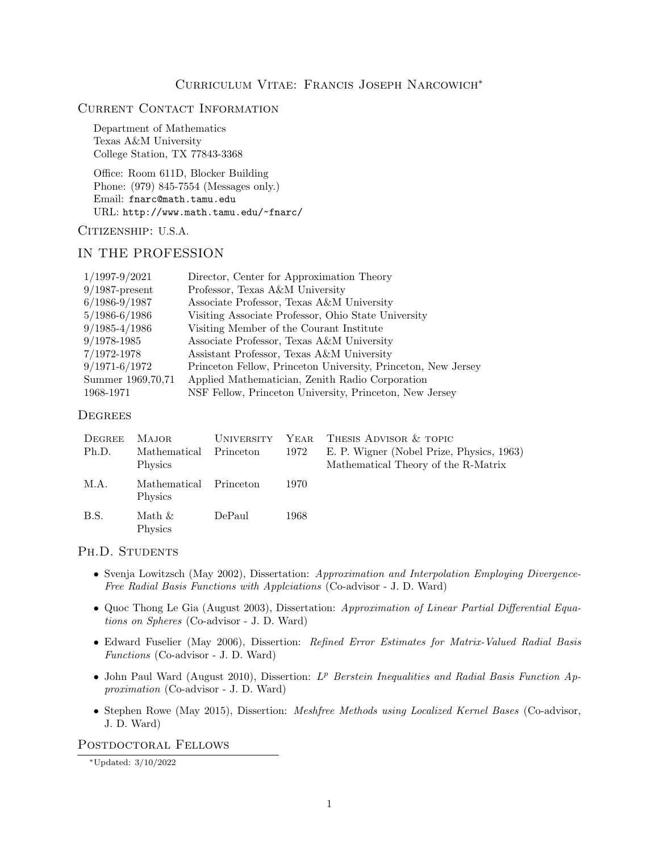# Current Contact Information

Department of Mathematics Texas A&M University College Station, TX 77843-3368

Office: Room 611D, Blocker Building Phone: (979) 845-7554 (Messages only.) Email: fnarc@math.tamu.edu URL: http://www.math.tamu.edu/~fnarc/

### CITIZENSHIP: U.S.A.

### IN THE PROFESSION

| $1/1997 - 9/2021$   | Director, Center for Approximation Theory                     |
|---------------------|---------------------------------------------------------------|
| $9/1987$ -present   | Professor, Texas A&M University                               |
| $6/1986 - 9/1987$   | Associate Professor, Texas A&M University                     |
| $5/1986 - 6/1986$   | Visiting Associate Professor, Ohio State University           |
| $9/1985 - 4/1986$   | Visiting Member of the Courant Institute                      |
| $9/1978 - 1985$     | Associate Professor, Texas A&M University                     |
| 7/1972-1978         | Assistant Professor, Texas A&M University                     |
| $9/1971 - 6/1972$   | Princeton Fellow, Princeton University, Princeton, New Jersey |
| Summer 1969, 70, 71 | Applied Mathematician, Zenith Radio Corporation               |
| 1968-1971           | NSF Fellow, Princeton University, Princeton, New Jersey       |

# **DEGREES**

| DEGREE<br>Ph.D. | <b>MAJOR</b><br>Mathematical<br>Physics | <b>UNIVERSITY</b><br>Princeton | 1972 | YEAR THESIS ADVISOR & TOPIC<br>E. P. Wigner (Nobel Prize, Physics, 1963)<br>Mathematical Theory of the R-Matrix |
|-----------------|-----------------------------------------|--------------------------------|------|-----------------------------------------------------------------------------------------------------------------|
| M.A.            | Mathematical<br><b>Physics</b>          | Princeton                      | 1970 |                                                                                                                 |
| B.S.            | Math &<br>Physics                       | DePaul                         | 1968 |                                                                                                                 |

### PH.D. STUDENTS

- Svenja Lowitzsch (May 2002), Dissertation: Approximation and Interpolation Employing Divergence-Free Radial Basis Functions with Applciations (Co-advisor - J. D. Ward)
- Quoc Thong Le Gia (August 2003), Dissertation: Approximation of Linear Partial Differential Equations on Spheres (Co-advisor - J. D. Ward)
- Edward Fuselier (May 2006), Dissertion: Refined Error Estimates for Matrix-Valued Radial Basis Functions (Co-advisor - J. D. Ward)
- John Paul Ward (August 2010), Dissertion:  $L^p$  Berstein Inequalities and Radial Basis Function Approximation (Co-advisor - J. D. Ward)
- Stephen Rowe (May 2015), Dissertion: Meshfree Methods using Localized Kernel Bases (Co-advisor, J. D. Ward)

# POSTDOCTORAL FELLOWS

<sup>∗</sup>Updated: 3/10/2022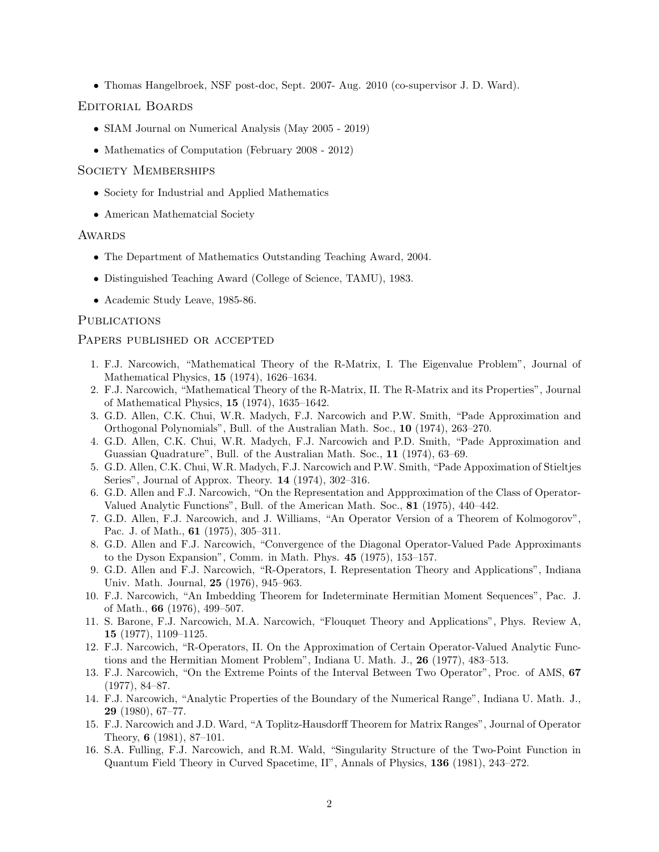• Thomas Hangelbroek, NSF post-doc, Sept. 2007- Aug. 2010 (co-supervisor J. D. Ward).

### Editorial Boards

- SIAM Journal on Numerical Analysis (May 2005 2019)
- Mathematics of Computation (February 2008 2012)

### SOCIETY MEMBERSHIPS

- Society for Industrial and Applied Mathematics
- American Mathematcial Society

#### **AWARDS**

- The Department of Mathematics Outstanding Teaching Award, 2004.
- Distinguished Teaching Award (College of Science, TAMU), 1983.
- Academic Study Leave, 1985-86.

#### **PUBLICATIONS**

#### Papers published or accepted

- 1. F.J. Narcowich, "Mathematical Theory of the R-Matrix, I. The Eigenvalue Problem", Journal of Mathematical Physics, 15 (1974), 1626–1634.
- 2. F.J. Narcowich, "Mathematical Theory of the R-Matrix, II. The R-Matrix and its Properties", Journal of Mathematical Physics, 15 (1974), 1635–1642.
- 3. G.D. Allen, C.K. Chui, W.R. Madych, F.J. Narcowich and P.W. Smith, "Pade Approximation and Orthogonal Polynomials", Bull. of the Australian Math. Soc., 10 (1974), 263–270.
- 4. G.D. Allen, C.K. Chui, W.R. Madych, F.J. Narcowich and P.D. Smith, "Pade Approximation and Guassian Quadrature", Bull. of the Australian Math. Soc., 11 (1974), 63–69.
- 5. G.D. Allen, C.K. Chui, W.R. Madych, F.J. Narcowich and P.W. Smith, "Pade Appoximation of Stieltjes Series", Journal of Approx. Theory. 14 (1974), 302–316.
- 6. G.D. Allen and F.J. Narcowich, "On the Representation and Appproximation of the Class of Operator-Valued Analytic Functions", Bull. of the American Math. Soc., 81 (1975), 440–442.
- 7. G.D. Allen, F.J. Narcowich, and J. Williams, "An Operator Version of a Theorem of Kolmogorov", Pac. J. of Math., 61 (1975), 305–311.
- 8. G.D. Allen and F.J. Narcowich, "Convergence of the Diagonal Operator-Valued Pade Approximants to the Dyson Expansion", Comm. in Math. Phys. 45 (1975), 153–157.
- 9. G.D. Allen and F.J. Narcowich, "R-Operators, I. Representation Theory and Applications", Indiana Univ. Math. Journal, 25 (1976), 945–963.
- 10. F.J. Narcowich, "An Imbedding Theorem for Indeterminate Hermitian Moment Sequences", Pac. J. of Math., 66 (1976), 499–507.
- 11. S. Barone, F.J. Narcowich, M.A. Narcowich, "Flouquet Theory and Applications", Phys. Review A, 15 (1977), 1109–1125.
- 12. F.J. Narcowich, "R-Operators, II. On the Approximation of Certain Operator-Valued Analytic Functions and the Hermitian Moment Problem", Indiana U. Math. J., 26 (1977), 483–513.
- 13. F.J. Narcowich, "On the Extreme Points of the Interval Between Two Operator", Proc. of AMS, 67 (1977), 84–87.
- 14. F.J. Narcowich, "Analytic Properties of the Boundary of the Numerical Range", Indiana U. Math. J., 29 (1980), 67–77.
- 15. F.J. Narcowich and J.D. Ward, "A Toplitz-Hausdorff Theorem for Matrix Ranges", Journal of Operator Theory, 6 (1981), 87–101.
- 16. S.A. Fulling, F.J. Narcowich, and R.M. Wald, "Singularity Structure of the Two-Point Function in Quantum Field Theory in Curved Spacetime, II", Annals of Physics, 136 (1981), 243–272.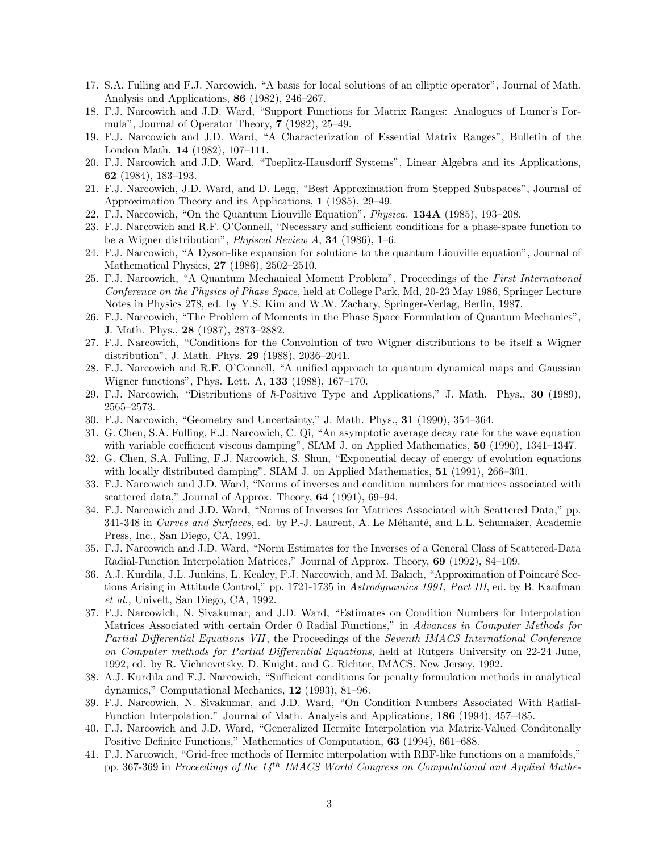- 17. S.A. Fulling and F.J. Narcowich, "A basis for local solutions of an elliptic operator", Journal of Math. Analysis and Applications, 86 (1982), 246–267.
- 18. F.J. Narcowich and J.D. Ward, "Support Functions for Matrix Ranges: Analogues of Lumer's Formula", Journal of Operator Theory, 7 (1982), 25–49.
- 19. F.J. Narcowich and J.D. Ward, "A Characterization of Essential Matrix Ranges", Bulletin of the London Math. 14 (1982), 107–111.
- 20. F.J. Narcowich and J.D. Ward, "Toeplitz-Hausdorff Systems", Linear Algebra and its Applications, 62 (1984), 183–193.
- 21. F.J. Narcowich, J.D. Ward, and D. Legg, "Best Approximation from Stepped Subspaces", Journal of Approximation Theory and its Applications, 1 (1985), 29–49.
- 22. F.J. Narcowich, "On the Quantum Liouville Equation", Physica. 134A (1985), 193–208.
- 23. F.J. Narcowich and R.F. O'Connell, "Necessary and sufficient conditions for a phase-space function to be a Wigner distribution", Phyiscal Review A, 34 (1986), 1–6.
- 24. F.J. Narcowich, "A Dyson-like expansion for solutions to the quantum Liouville equation", Journal of Mathematical Physics, 27 (1986), 2502–2510.
- 25. F.J. Narcowich, "A Quantum Mechanical Moment Problem", Proceedings of the First International Conference on the Physics of Phase Space, held at College Park, Md, 20-23 May 1986, Springer Lecture Notes in Physics 278, ed. by Y.S. Kim and W.W. Zachary, Springer-Verlag, Berlin, 1987.
- 26. F.J. Narcowich, "The Problem of Moments in the Phase Space Formulation of Quantum Mechanics", J. Math. Phys., 28 (1987), 2873–2882.
- 27. F.J. Narcowich, "Conditions for the Convolution of two Wigner distributions to be itself a Wigner distribution", J. Math. Phys. 29 (1988), 2036–2041.
- 28. F.J. Narcowich and R.F. O'Connell, "A unified approach to quantum dynamical maps and Gaussian Wigner functions", Phys. Lett. A, 133 (1988), 167–170.
- 29. F.J. Narcowich, "Distributions of  $\hbar$ -Positive Type and Applications," J. Math. Phys., 30 (1989), 2565–2573.
- 30. F.J. Narcowich, "Geometry and Uncertainty," J. Math. Phys., 31 (1990), 354–364.
- 31. G. Chen, S.A. Fulling, F.J. Narcowich, C. Qi, "An asymptotic average decay rate for the wave equation with variable coefficient viscous damping", SIAM J. on Applied Mathematics, 50 (1990), 1341–1347.
- 32. G. Chen, S.A. Fulling, F.J. Narcowich, S. Shun, "Exponential decay of energy of evolution equations with locally distributed damping", SIAM J. on Applied Mathematics, 51 (1991), 266–301.
- 33. F.J. Narcowich and J.D. Ward, "Norms of inverses and condition numbers for matrices associated with scattered data," Journal of Approx. Theory, 64 (1991), 69–94.
- 34. F.J. Narcowich and J.D. Ward, "Norms of Inverses for Matrices Associated with Scattered Data," pp. 341-348 in Curves and Surfaces, ed. by P.-J. Laurent, A. Le Méhauté, and L.L. Schumaker, Academic Press, Inc., San Diego, CA, 1991.
- 35. F.J. Narcowich and J.D. Ward, "Norm Estimates for the Inverses of a General Class of Scattered-Data Radial-Function Interpolation Matrices," Journal of Approx. Theory, 69 (1992), 84–109.
- 36. A.J. Kurdila, J.L. Junkins, L. Kealey, F.J. Narcowich, and M. Bakich, "Approximation of Poincaré Sections Arising in Attitude Control," pp. 1721-1735 in Astrodynamics 1991, Part III, ed. by B. Kaufman et al., Univelt, San Diego, CA, 1992.
- 37. F.J. Narcowich, N. Sivakumar, and J.D. Ward, "Estimates on Condition Numbers for Interpolation Matrices Associated with certain Order 0 Radial Functions," in Advances in Computer Methods for Partial Differential Equations VII, the Proceedings of the Seventh IMACS International Conference on Computer methods for Partial Differential Equations, held at Rutgers University on 22-24 June, 1992, ed. by R. Vichnevetsky, D. Knight, and G. Richter, IMACS, New Jersey, 1992.
- 38. A.J. Kurdila and F.J. Narcowich, "Sufficient conditions for penalty formulation methods in analytical dynamics," Computational Mechanics, 12 (1993), 81–96.
- 39. F.J. Narcowich, N. Sivakumar, and J.D. Ward, "On Condition Numbers Associated With Radial-Function Interpolation." Journal of Math. Analysis and Applications, 186 (1994), 457–485.
- 40. F.J. Narcowich and J.D. Ward, "Generalized Hermite Interpolation via Matrix-Valued Conditonally Positive Definite Functions," Mathematics of Computation, 63 (1994), 661–688.
- 41. F.J. Narcowich, "Grid-free methods of Hermite interpolation with RBF-like functions on a manifolds," pp. 367-369 in Proceedings of the  $14^{th}$  IMACS World Congress on Computational and Applied Mathe-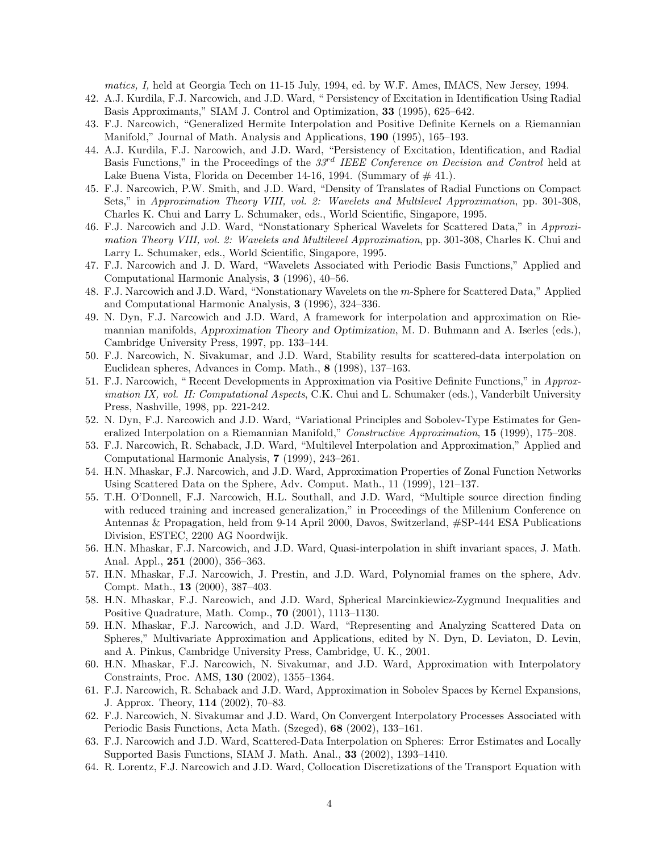matics, I, held at Georgia Tech on 11-15 July, 1994, ed. by W.F. Ames, IMACS, New Jersey, 1994.

- 42. A.J. Kurdila, F.J. Narcowich, and J.D. Ward, " Persistency of Excitation in Identification Using Radial Basis Approximants," SIAM J. Control and Optimization, 33 (1995), 625–642.
- 43. F.J. Narcowich, "Generalized Hermite Interpolation and Positive Definite Kernels on a Riemannian Manifold," Journal of Math. Analysis and Applications, 190 (1995), 165–193.
- 44. A.J. Kurdila, F.J. Narcowich, and J.D. Ward, "Persistency of Excitation, Identification, and Radial Basis Functions," in the Proceedings of the  $33<sup>rd</sup> IEEE Conference on Decision and Control$  held at Lake Buena Vista, Florida on December 14-16, 1994. (Summary of  $\#$  41.).
- 45. F.J. Narcowich, P.W. Smith, and J.D. Ward, "Density of Translates of Radial Functions on Compact Sets," in Approximation Theory VIII, vol. 2: Wavelets and Multilevel Approximation, pp. 301-308, Charles K. Chui and Larry L. Schumaker, eds., World Scientific, Singapore, 1995.
- 46. F.J. Narcowich and J.D. Ward, "Nonstationary Spherical Wavelets for Scattered Data," in Approximation Theory VIII, vol. 2: Wavelets and Multilevel Approximation, pp. 301-308, Charles K. Chui and Larry L. Schumaker, eds., World Scientific, Singapore, 1995.
- 47. F.J. Narcowich and J. D. Ward, "Wavelets Associated with Periodic Basis Functions," Applied and Computational Harmonic Analysis, 3 (1996), 40–56.
- 48. F.J. Narcowich and J.D. Ward, "Nonstationary Wavelets on the m-Sphere for Scattered Data," Applied and Computational Harmonic Analysis, 3 (1996), 324–336.
- 49. N. Dyn, F.J. Narcowich and J.D. Ward, A framework for interpolation and approximation on Riemannian manifolds, Approximation Theory and Optimization, M. D. Buhmann and A. Iserles (eds.), Cambridge University Press, 1997, pp. 133–144.
- 50. F.J. Narcowich, N. Sivakumar, and J.D. Ward, Stability results for scattered-data interpolation on Euclidean spheres, Advances in Comp. Math., 8 (1998), 137–163.
- 51. F.J. Narcowich, " Recent Developments in Approximation via Positive Definite Functions," in Approximation IX, vol. II: Computational Aspects, C.K. Chui and L. Schumaker (eds.), Vanderbilt University Press, Nashville, 1998, pp. 221-242.
- 52. N. Dyn, F.J. Narcowich and J.D. Ward, "Variational Principles and Sobolev-Type Estimates for Generalized Interpolation on a Riemannian Manifold," Constructive Approximation, 15 (1999), 175–208.
- 53. F.J. Narcowich, R. Schaback, J.D. Ward, "Multilevel Interpolation and Approximation," Applied and Computational Harmonic Analysis, 7 (1999), 243–261.
- 54. H.N. Mhaskar, F.J. Narcowich, and J.D. Ward, Approximation Properties of Zonal Function Networks Using Scattered Data on the Sphere, Adv. Comput. Math., 11 (1999), 121–137.
- 55. T.H. O'Donnell, F.J. Narcowich, H.L. Southall, and J.D. Ward, "Multiple source direction finding with reduced training and increased generalization," in Proceedings of the Millenium Conference on Antennas & Propagation, held from 9-14 April 2000, Davos, Switzerland, #SP-444 ESA Publications Division, ESTEC, 2200 AG Noordwijk.
- 56. H.N. Mhaskar, F.J. Narcowich, and J.D. Ward, Quasi-interpolation in shift invariant spaces, J. Math. Anal. Appl., 251 (2000), 356–363.
- 57. H.N. Mhaskar, F.J. Narcowich, J. Prestin, and J.D. Ward, Polynomial frames on the sphere, Adv. Compt. Math., 13 (2000), 387–403.
- 58. H.N. Mhaskar, F.J. Narcowich, and J.D. Ward, Spherical Marcinkiewicz-Zygmund Inequalities and Positive Quadrature, Math. Comp., 70 (2001), 1113–1130.
- 59. H.N. Mhaskar, F.J. Narcowich, and J.D. Ward, "Representing and Analyzing Scattered Data on Spheres," Multivariate Approximation and Applications, edited by N. Dyn, D. Leviaton, D. Levin, and A. Pinkus, Cambridge University Press, Cambridge, U. K., 2001.
- 60. H.N. Mhaskar, F.J. Narcowich, N. Sivakumar, and J.D. Ward, Approximation with Interpolatory Constraints, Proc. AMS, 130 (2002), 1355–1364.
- 61. F.J. Narcowich, R. Schaback and J.D. Ward, Approximation in Sobolev Spaces by Kernel Expansions, J. Approx. Theory, 114 (2002), 70–83.
- 62. F.J. Narcowich, N. Sivakumar and J.D. Ward, On Convergent Interpolatory Processes Associated with Periodic Basis Functions, Acta Math. (Szeged), 68 (2002), 133–161.
- 63. F.J. Narcowich and J.D. Ward, Scattered-Data Interpolation on Spheres: Error Estimates and Locally Supported Basis Functions, SIAM J. Math. Anal., 33 (2002), 1393–1410.
- 64. R. Lorentz, F.J. Narcowich and J.D. Ward, Collocation Discretizations of the Transport Equation with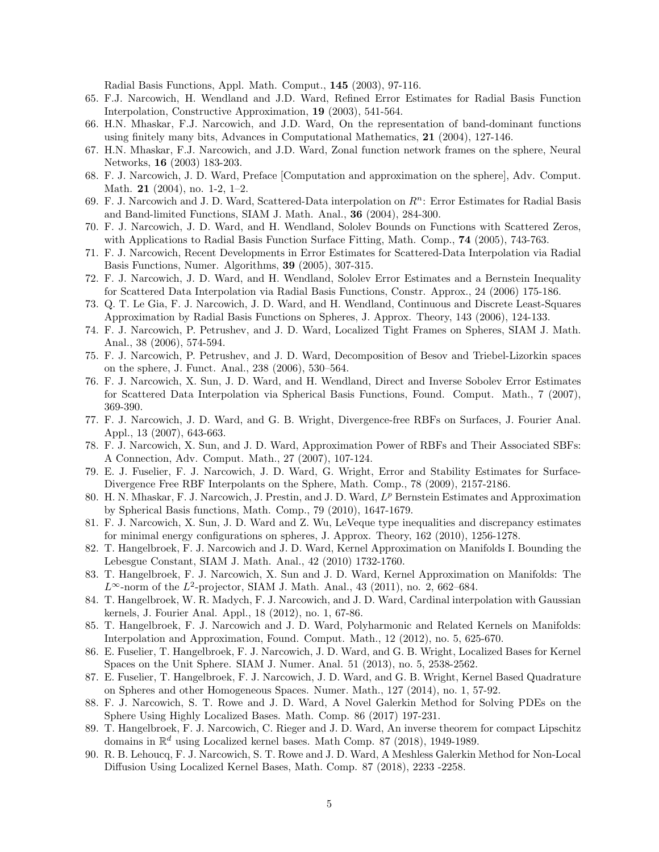Radial Basis Functions, Appl. Math. Comput., 145 (2003), 97-116.

- 65. F.J. Narcowich, H. Wendland and J.D. Ward, Refined Error Estimates for Radial Basis Function Interpolation, Constructive Approximation, 19 (2003), 541-564.
- 66. H.N. Mhaskar, F.J. Narcowich, and J.D. Ward, On the representation of band-dominant functions using finitely many bits, Advances in Computational Mathematics, 21 (2004), 127-146.
- 67. H.N. Mhaskar, F.J. Narcowich, and J.D. Ward, Zonal function network frames on the sphere, Neural Networks, 16 (2003) 183-203.
- 68. F. J. Narcowich, J. D. Ward, Preface [Computation and approximation on the sphere], Adv. Comput. Math. 21 (2004), no. 1-2, 1–2.
- 69. F. J. Narcowich and J. D. Ward, Scattered-Data interpolation on  $R^n$ : Error Estimates for Radial Basis and Band-limited Functions, SIAM J. Math. Anal., 36 (2004), 284-300.
- 70. F. J. Narcowich, J. D. Ward, and H. Wendland, Sololev Bounds on Functions with Scattered Zeros, with Applications to Radial Basis Function Surface Fitting, Math. Comp., **74** (2005), 743-763.
- 71. F. J. Narcowich, Recent Developments in Error Estimates for Scattered-Data Interpolation via Radial Basis Functions, Numer. Algorithms, 39 (2005), 307-315.
- 72. F. J. Narcowich, J. D. Ward, and H. Wendland, Sololev Error Estimates and a Bernstein Inequality for Scattered Data Interpolation via Radial Basis Functions, Constr. Approx., 24 (2006) 175-186.
- 73. Q. T. Le Gia, F. J. Narcowich, J. D. Ward, and H. Wendland, Continuous and Discrete Least-Squares Approximation by Radial Basis Functions on Spheres, J. Approx. Theory, 143 (2006), 124-133.
- 74. F. J. Narcowich, P. Petrushev, and J. D. Ward, Localized Tight Frames on Spheres, SIAM J. Math. Anal., 38 (2006), 574-594.
- 75. F. J. Narcowich, P. Petrushev, and J. D. Ward, Decomposition of Besov and Triebel-Lizorkin spaces on the sphere, J. Funct. Anal., 238 (2006), 530–564.
- 76. F. J. Narcowich, X. Sun, J. D. Ward, and H. Wendland, Direct and Inverse Sobolev Error Estimates for Scattered Data Interpolation via Spherical Basis Functions, Found. Comput. Math., 7 (2007), 369-390.
- 77. F. J. Narcowich, J. D. Ward, and G. B. Wright, Divergence-free RBFs on Surfaces, J. Fourier Anal. Appl., 13 (2007), 643-663.
- 78. F. J. Narcowich, X. Sun, and J. D. Ward, Approximation Power of RBFs and Their Associated SBFs: A Connection, Adv. Comput. Math., 27 (2007), 107-124.
- 79. E. J. Fuselier, F. J. Narcowich, J. D. Ward, G. Wright, Error and Stability Estimates for Surface-Divergence Free RBF Interpolants on the Sphere, Math. Comp., 78 (2009), 2157-2186.
- 80. H. N. Mhaskar, F. J. Narcowich, J. Prestin, and J. D. Ward,  $L^p$  Bernstein Estimates and Approximation by Spherical Basis functions, Math. Comp., 79 (2010), 1647-1679.
- 81. F. J. Narcowich, X. Sun, J. D. Ward and Z. Wu, LeVeque type inequalities and discrepancy estimates for minimal energy configurations on spheres, J. Approx. Theory, 162 (2010), 1256-1278.
- 82. T. Hangelbroek, F. J. Narcowich and J. D. Ward, Kernel Approximation on Manifolds I. Bounding the Lebesgue Constant, SIAM J. Math. Anal., 42 (2010) 1732-1760.
- 83. T. Hangelbroek, F. J. Narcowich, X. Sun and J. D. Ward, Kernel Approximation on Manifolds: The  $L^{\infty}$ -norm of the  $L^{2}$ -projector, SIAM J. Math. Anal., 43 (2011), no. 2, 662–684.
- 84. T. Hangelbroek, W. R. Madych, F. J. Narcowich, and J. D. Ward, Cardinal interpolation with Gaussian kernels, J. Fourier Anal. Appl., 18 (2012), no. 1, 67-86.
- 85. T. Hangelbroek, F. J. Narcowich and J. D. Ward, Polyharmonic and Related Kernels on Manifolds: Interpolation and Approximation, Found. Comput. Math., 12 (2012), no. 5, 625-670.
- 86. E. Fuselier, T. Hangelbroek, F. J. Narcowich, J. D. Ward, and G. B. Wright, Localized Bases for Kernel Spaces on the Unit Sphere. SIAM J. Numer. Anal. 51 (2013), no. 5, 2538-2562.
- 87. E. Fuselier, T. Hangelbroek, F. J. Narcowich, J. D. Ward, and G. B. Wright, Kernel Based Quadrature on Spheres and other Homogeneous Spaces. Numer. Math., 127 (2014), no. 1, 57-92.
- 88. F. J. Narcowich, S. T. Rowe and J. D. Ward, A Novel Galerkin Method for Solving PDEs on the Sphere Using Highly Localized Bases. Math. Comp. 86 (2017) 197-231.
- 89. T. Hangelbroek, F. J. Narcowich, C. Rieger and J. D. Ward, An inverse theorem for compact Lipschitz domains in  $\mathbb{R}^d$  using Localized kernel bases. Math Comp. 87 (2018), 1949-1989.
- 90. R. B. Lehoucq, F. J. Narcowich, S. T. Rowe and J. D. Ward, A Meshless Galerkin Method for Non-Local Diffusion Using Localized Kernel Bases, Math. Comp. 87 (2018), 2233 -2258.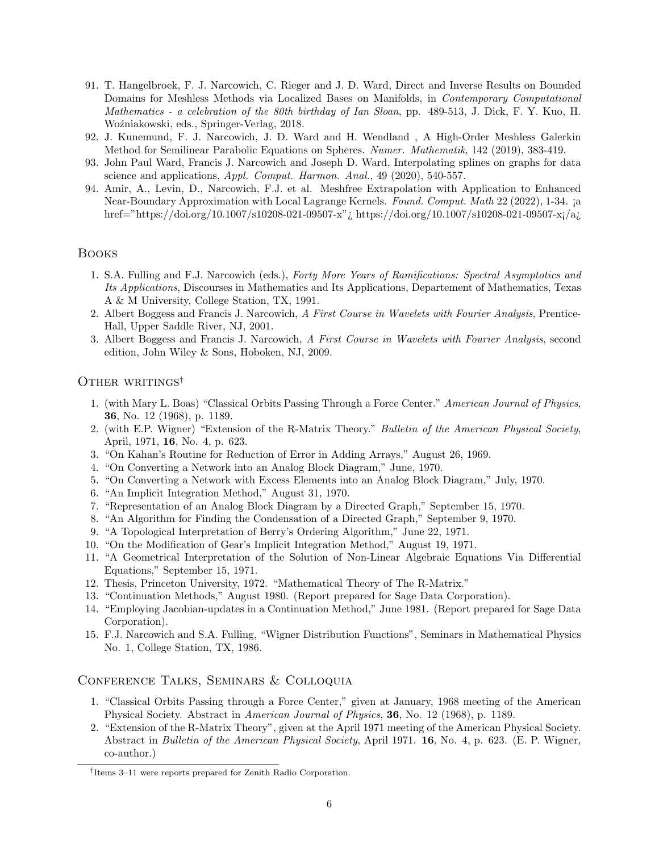- 91. T. Hangelbroek, F. J. Narcowich, C. Rieger and J. D. Ward, Direct and Inverse Results on Bounded Domains for Meshless Methods via Localized Bases on Manifolds, in Contemporary Computational Mathematics - a celebration of the 80th birthday of Ian Sloan, pp. 489-513, J. Dick, F. Y. Kuo, H. Woźniakowski, eds., Springer-Verlag, 2018.
- 92. J. Kunemund, F. J. Narcowich, J. D. Ward and H. Wendland , A High-Order Meshless Galerkin Method for Semilinear Parabolic Equations on Spheres. Numer. Mathematik, 142 (2019), 383-419.
- 93. John Paul Ward, Francis J. Narcowich and Joseph D. Ward, Interpolating splines on graphs for data science and applications, Appl. Comput. Harmon. Anal., 49 (2020), 540-557.
- 94. Amir, A., Levin, D., Narcowich, F.J. et al. Meshfree Extrapolation with Application to Enhanced Near-Boundary Approximation with Local Lagrange Kernels. Found. Comput. Math 22 (2022), 1-34. ¡a href="https://doi.org/10.1007/s10208-021-09507-x"¿ https://doi.org/10.1007/s10208-021-09507-x¡/a¿

### Books

- 1. S.A. Fulling and F.J. Narcowich (eds.), Forty More Years of Ramifications: Spectral Asymptotics and Its Applications, Discourses in Mathematics and Its Applications, Departement of Mathematics, Texas A & M University, College Station, TX, 1991.
- 2. Albert Boggess and Francis J. Narcowich, A First Course in Wavelets with Fourier Analysis, Prentice-Hall, Upper Saddle River, NJ, 2001.
- 3. Albert Boggess and Francis J. Narcowich, A First Course in Wavelets with Fourier Analysis, second edition, John Wiley & Sons, Hoboken, NJ, 2009.

### OTHER WRITINGS<sup>†</sup>

- 1. (with Mary L. Boas) "Classical Orbits Passing Through a Force Center." American Journal of Physics, 36, No. 12 (1968), p. 1189.
- 2. (with E.P. Wigner) "Extension of the R-Matrix Theory." Bulletin of the American Physical Society, April, 1971, 16, No. 4, p. 623.
- 3. "On Kahan's Routine for Reduction of Error in Adding Arrays," August 26, 1969.
- 4. "On Converting a Network into an Analog Block Diagram," June, 1970.
- 5. "On Converting a Network with Excess Elements into an Analog Block Diagram," July, 1970.
- 6. "An Implicit Integration Method," August 31, 1970.
- 7. "Representation of an Analog Block Diagram by a Directed Graph," September 15, 1970.
- 8. "An Algorithm for Finding the Condensation of a Directed Graph," September 9, 1970.
- 9. "A Topological Interpretation of Berry's Ordering Algorithm," June 22, 1971.
- 10. "On the Modification of Gear's Implicit Integration Method," August 19, 1971.
- 11. "A Geometrical Interpretation of the Solution of Non-Linear Algebraic Equations Via Differential Equations," September 15, 1971.
- 12. Thesis, Princeton University, 1972. "Mathematical Theory of The R-Matrix."
- 13. "Continuation Methods," August 1980. (Report prepared for Sage Data Corporation).
- 14. "Employing Jacobian-updates in a Continuation Method," June 1981. (Report prepared for Sage Data Corporation).
- 15. F.J. Narcowich and S.A. Fulling, "Wigner Distribution Functions", Seminars in Mathematical Physics No. 1, College Station, TX, 1986.

### Conference Talks, Seminars & Colloquia

- 1. "Classical Orbits Passing through a Force Center," given at January, 1968 meeting of the American Physical Society. Abstract in American Journal of Physics, 36, No. 12 (1968), p. 1189.
- 2. "Extension of the R-Matrix Theory", given at the April 1971 meeting of the American Physical Society. Abstract in Bulletin of the American Physical Society, April 1971. 16, No. 4, p. 623. (E. P. Wigner, co-author.)

<sup>†</sup> Items 3–11 were reports prepared for Zenith Radio Corporation.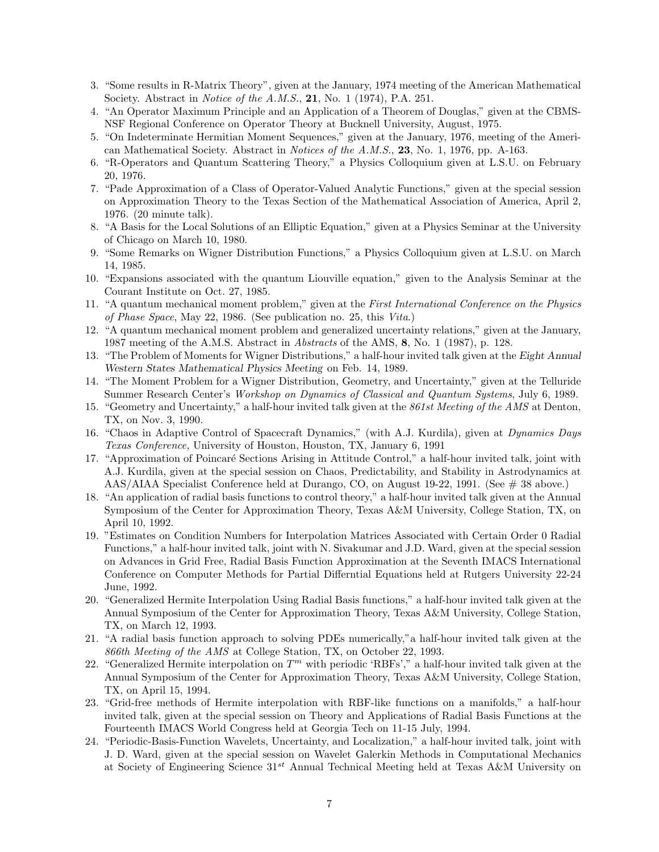- 3. "Some results in R-Matrix Theory", given at the January, 1974 meeting of the American Mathematical Society. Abstract in Notice of the A.M.S., 21, No. 1 (1974), P.A. 251.
- 4. "An Operator Maximum Principle and an Application of a Theorem of Douglas," given at the CBMS-NSF Regional Conference on Operator Theory at Bucknell University, August, 1975.
- 5. "On Indeterminate Hermitian Moment Sequences," given at the January, 1976, meeting of the American Mathematical Society. Abstract in Notices of the A.M.S., 23, No. 1, 1976, pp. A-163.
- 6. "R-Operators and Quantum Scattering Theory," a Physics Colloquium given at L.S.U. on February 20, 1976.
- 7. "Pade Approximation of a Class of Operator-Valued Analytic Functions," given at the special session on Approximation Theory to the Texas Section of the Mathematical Association of America, April 2, 1976. (20 minute talk).
- 8. "A Basis for the Local Solutions of an Elliptic Equation," given at a Physics Seminar at the University of Chicago on March 10, 1980.
- 9. "Some Remarks on Wigner Distribution Functions," a Physics Colloquium given at L.S.U. on March 14, 1985.
- 10. "Expansions associated with the quantum Liouville equation," given to the Analysis Seminar at the Courant Institute on Oct. 27, 1985.
- 11. "A quantum mechanical moment problem," given at the First International Conference on the Physics of Phase Space, May 22, 1986. (See publication no. 25, this Vita.)
- 12. "A quantum mechanical moment problem and generalized uncertainty relations," given at the January, 1987 meeting of the A.M.S. Abstract in Abstracts of the AMS, 8, No. 1 (1987), p. 128.
- 13. "The Problem of Moments for Wigner Distributions," a half-hour invited talk given at the Eight Annual Western States Mathematical Physics Meeting on Feb. 14, 1989.
- 14. "The Moment Problem for a Wigner Distribution, Geometry, and Uncertainty," given at the Telluride Summer Research Center's Workshop on Dynamics of Classical and Quantum Systems, July 6, 1989.
- 15. "Geometry and Uncertainty," a half-hour invited talk given at the 861st Meeting of the AMS at Denton, TX, on Nov. 3, 1990.
- 16. "Chaos in Adaptive Control of Spacecraft Dynamics," (with A.J. Kurdila), given at Dynamics Days Texas Conference, University of Houston, Houston, TX, January 6, 1991
- 17. "Approximation of Poincar´e Sections Arising in Attitude Control," a half-hour invited talk, joint with A.J. Kurdila, given at the special session on Chaos, Predictability, and Stability in Astrodynamics at AAS/AIAA Specialist Conference held at Durango, CO, on August 19-22, 1991. (See # 38 above.)
- 18. "An application of radial basis functions to control theory," a half-hour invited talk given at the Annual Symposium of the Center for Approximation Theory, Texas A&M University, College Station, TX, on April 10, 1992.
- 19. "Estimates on Condition Numbers for Interpolation Matrices Associated with Certain Order 0 Radial Functions," a half-hour invited talk, joint with N. Sivakumar and J.D. Ward, given at the special session on Advances in Grid Free, Radial Basis Function Approximation at the Seventh IMACS International Conference on Computer Methods for Partial Differntial Equations held at Rutgers University 22-24 June, 1992.
- 20. "Generalized Hermite Interpolation Using Radial Basis functions," a half-hour invited talk given at the Annual Symposium of the Center for Approximation Theory, Texas A&M University, College Station, TX, on March 12, 1993.
- 21. "A radial basis function approach to solving PDEs numerically,"a half-hour invited talk given at the 866th Meeting of the AMS at College Station, TX, on October 22, 1993.
- 22. "Generalized Hermite interpolation on  $T<sup>m</sup>$  with periodic 'RBFs'," a half-hour invited talk given at the Annual Symposium of the Center for Approximation Theory, Texas A&M University, College Station, TX, on April 15, 1994.
- 23. "Grid-free methods of Hermite interpolation with RBF-like functions on a manifolds," a half-hour invited talk, given at the special session on Theory and Applications of Radial Basis Functions at the Fourteenth IMACS World Congress held at Georgia Tech on 11-15 July, 1994.
- 24. "Periodic-Basis-Function Wavelets, Uncertainty, and Localization," a half-hour invited talk, joint with J. D. Ward, given at the special session on Wavelet Galerkin Methods in Computational Mechanics at Society of Engineering Science  $31^{st}$  Annual Technical Meeting held at Texas A&M University on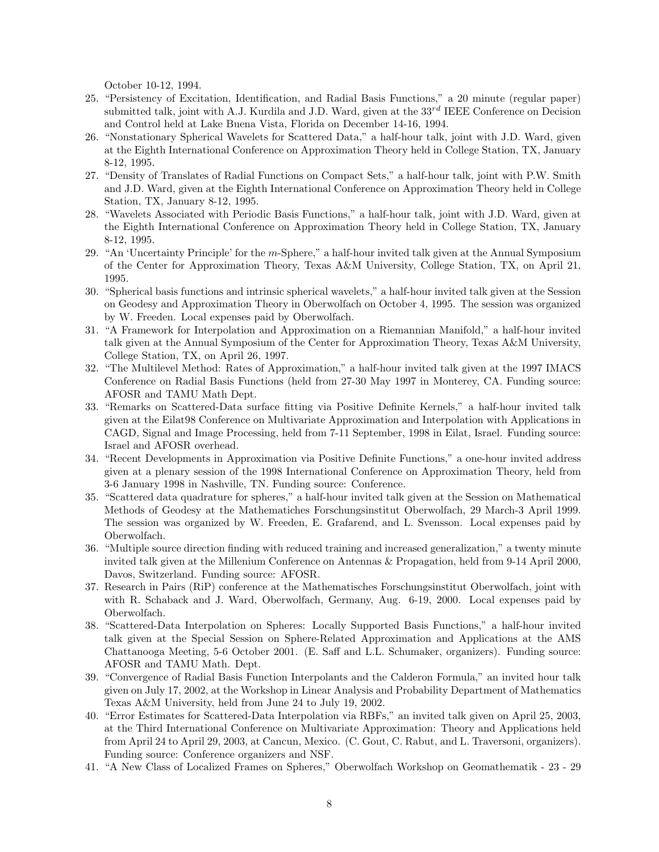October 10-12, 1994.

- 25. "Persistency of Excitation, Identification, and Radial Basis Functions," a 20 minute (regular paper) submitted talk, joint with A.J. Kurdila and J.D. Ward, given at the  $33^{rd}$  IEEE Conference on Decision and Control held at Lake Buena Vista, Florida on December 14-16, 1994.
- 26. "Nonstationary Spherical Wavelets for Scattered Data," a half-hour talk, joint with J.D. Ward, given at the Eighth International Conference on Approximation Theory held in College Station, TX, January 8-12, 1995.
- 27. "Density of Translates of Radial Functions on Compact Sets," a half-hour talk, joint with P.W. Smith and J.D. Ward, given at the Eighth International Conference on Approximation Theory held in College Station, TX, January 8-12, 1995.
- 28. "Wavelets Associated with Periodic Basis Functions," a half-hour talk, joint with J.D. Ward, given at the Eighth International Conference on Approximation Theory held in College Station, TX, January 8-12, 1995.
- 29. "An 'Uncertainty Principle' for the m-Sphere," a half-hour invited talk given at the Annual Symposium of the Center for Approximation Theory, Texas A&M University, College Station, TX, on April 21, 1995.
- 30. "Spherical basis functions and intrinsic spherical wavelets," a half-hour invited talk given at the Session on Geodesy and Approximation Theory in Oberwolfach on October 4, 1995. The session was organized by W. Freeden. Local expenses paid by Oberwolfach.
- 31. "A Framework for Interpolation and Approximation on a Riemannian Manifold," a half-hour invited talk given at the Annual Symposium of the Center for Approximation Theory, Texas A&M University, College Station, TX, on April 26, 1997.
- 32. "The Multilevel Method: Rates of Approximation," a half-hour invited talk given at the 1997 IMACS Conference on Radial Basis Functions (held from 27-30 May 1997 in Monterey, CA. Funding source: AFOSR and TAMU Math Dept.
- 33. "Remarks on Scattered-Data surface fitting via Positive Definite Kernels," a half-hour invited talk given at the Eilat98 Conference on Multivariate Approximation and Interpolation with Applications in CAGD, Signal and Image Processing, held from 7-11 September, 1998 in Eilat, Israel. Funding source: Israel and AFOSR overhead.
- 34. "Recent Developments in Approximation via Positive Definite Functions," a one-hour invited address given at a plenary session of the 1998 International Conference on Approximation Theory, held from 3-6 January 1998 in Nashville, TN. Funding source: Conference.
- 35. "Scattered data quadrature for spheres," a half-hour invited talk given at the Session on Mathematical Methods of Geodesy at the Mathematiches Forschungsinstitut Oberwolfach, 29 March-3 April 1999. The session was organized by W. Freeden, E. Grafarend, and L. Svensson. Local expenses paid by Oberwolfach.
- 36. "Multiple source direction finding with reduced training and increased generalization," a twenty minute invited talk given at the Millenium Conference on Antennas & Propagation, held from 9-14 April 2000, Davos, Switzerland. Funding source: AFOSR.
- 37. Research in Pairs (RiP) conference at the Mathematisches Forschungsinstitut Oberwolfach, joint with with R. Schaback and J. Ward, Oberwolfach, Germany, Aug. 6-19, 2000. Local expenses paid by Oberwolfach.
- 38. "Scattered-Data Interpolation on Spheres: Locally Supported Basis Functions," a half-hour invited talk given at the Special Session on Sphere-Related Approximation and Applications at the AMS Chattanooga Meeting, 5-6 October 2001. (E. Saff and L.L. Schumaker, organizers). Funding source: AFOSR and TAMU Math. Dept.
- 39. "Convergence of Radial Basis Function Interpolants and the Calderon Formula," an invited hour talk given on July 17, 2002, at the Workshop in Linear Analysis and Probability Department of Mathematics Texas A&M University, held from June 24 to July 19, 2002.
- 40. "Error Estimates for Scattered-Data Interpolation via RBFs," an invited talk given on April 25, 2003, at the Third International Conference on Multivariate Approximation: Theory and Applications held from April 24 to April 29, 2003, at Cancun, Mexico. (C. Gout, C. Rabut, and L. Traversoni, organizers). Funding source: Conference organizers and NSF.
- 41. "A New Class of Localized Frames on Spheres," Oberwolfach Workshop on Geomathematik 23 29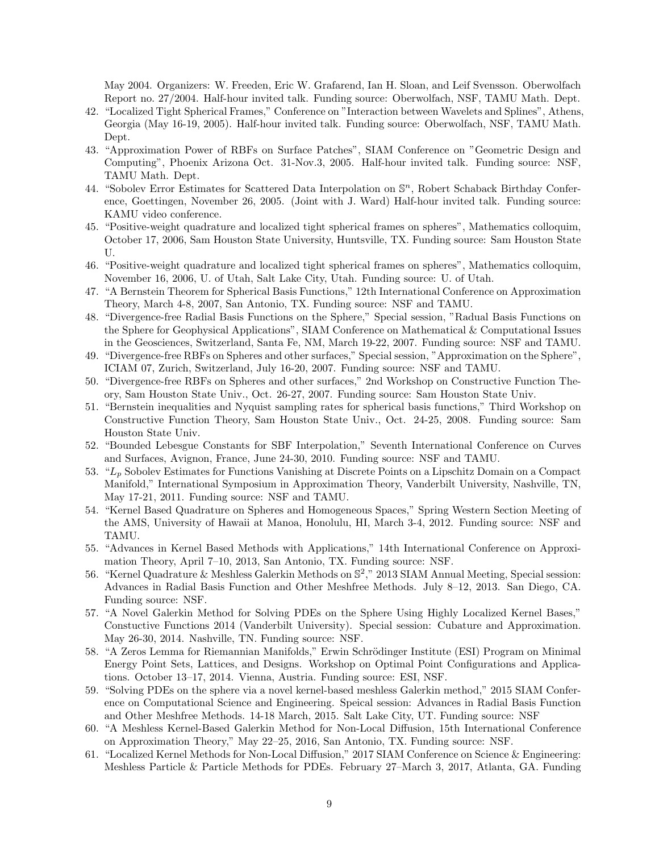May 2004. Organizers: W. Freeden, Eric W. Grafarend, Ian H. Sloan, and Leif Svensson. Oberwolfach Report no. 27/2004. Half-hour invited talk. Funding source: Oberwolfach, NSF, TAMU Math. Dept.

- 42. "Localized Tight Spherical Frames," Conference on "Interaction between Wavelets and Splines", Athens, Georgia (May 16-19, 2005). Half-hour invited talk. Funding source: Oberwolfach, NSF, TAMU Math. Dept.
- 43. "Approximation Power of RBFs on Surface Patches", SIAM Conference on "Geometric Design and Computing", Phoenix Arizona Oct. 31-Nov.3, 2005. Half-hour invited talk. Funding source: NSF, TAMU Math. Dept.
- 44. "Sobolev Error Estimates for Scattered Data Interpolation on  $\mathbb{S}^n$ , Robert Schaback Birthday Conference, Goettingen, November 26, 2005. (Joint with J. Ward) Half-hour invited talk. Funding source: KAMU video conference.
- 45. "Positive-weight quadrature and localized tight spherical frames on spheres", Mathematics colloquim, October 17, 2006, Sam Houston State University, Huntsville, TX. Funding source: Sam Houston State U.
- 46. "Positive-weight quadrature and localized tight spherical frames on spheres", Mathematics colloquim, November 16, 2006, U. of Utah, Salt Lake City, Utah. Funding source: U. of Utah.
- 47. "A Bernstein Theorem for Spherical Basis Functions," 12th International Conference on Approximation Theory, March 4-8, 2007, San Antonio, TX. Funding source: NSF and TAMU.
- 48. "Divergence-free Radial Basis Functions on the Sphere," Special session, "Radual Basis Functions on the Sphere for Geophysical Applications", SIAM Conference on Mathematical & Computational Issues in the Geosciences, Switzerland, Santa Fe, NM, March 19-22, 2007. Funding source: NSF and TAMU.
- 49. "Divergence-free RBFs on Spheres and other surfaces," Special session, "Approximation on the Sphere", ICIAM 07, Zurich, Switzerland, July 16-20, 2007. Funding source: NSF and TAMU.
- 50. "Divergence-free RBFs on Spheres and other surfaces," 2nd Workshop on Constructive Function Theory, Sam Houston State Univ., Oct. 26-27, 2007. Funding source: Sam Houston State Univ.
- 51. "Bernstein inequalities and Nyquist sampling rates for spherical basis functions," Third Workshop on Constructive Function Theory, Sam Houston State Univ., Oct. 24-25, 2008. Funding source: Sam Houston State Univ.
- 52. "Bounded Lebesgue Constants for SBF Interpolation," Seventh International Conference on Curves and Surfaces, Avignon, France, June 24-30, 2010. Funding source: NSF and TAMU.
- 53. "L<sup>p</sup> Sobolev Estimates for Functions Vanishing at Discrete Points on a Lipschitz Domain on a Compact Manifold," International Symposium in Approximation Theory, Vanderbilt University, Nashville, TN, May 17-21, 2011. Funding source: NSF and TAMU.
- 54. "Kernel Based Quadrature on Spheres and Homogeneous Spaces," Spring Western Section Meeting of the AMS, University of Hawaii at Manoa, Honolulu, HI, March 3-4, 2012. Funding source: NSF and TAMU.
- 55. "Advances in Kernel Based Methods with Applications," 14th International Conference on Approximation Theory, April 7–10, 2013, San Antonio, TX. Funding source: NSF.
- 56. "Kernel Quadrature & Meshless Galerkin Methods on S 2 ," 2013 SIAM Annual Meeting, Special session: Advances in Radial Basis Function and Other Meshfree Methods. July 8–12, 2013. San Diego, CA. Funding source: NSF.
- 57. "A Novel Galerkin Method for Solving PDEs on the Sphere Using Highly Localized Kernel Bases," Constuctive Functions 2014 (Vanderbilt University). Special session: Cubature and Approximation. May 26-30, 2014. Nashville, TN. Funding source: NSF.
- 58. "A Zeros Lemma for Riemannian Manifolds," Erwin Schrödinger Institute (ESI) Program on Minimal Energy Point Sets, Lattices, and Designs. Workshop on Optimal Point Configurations and Applications. October 13–17, 2014. Vienna, Austria. Funding source: ESI, NSF.
- 59. "Solving PDEs on the sphere via a novel kernel-based meshless Galerkin method," 2015 SIAM Conference on Computational Science and Engineering. Speical session: Advances in Radial Basis Function and Other Meshfree Methods. 14-18 March, 2015. Salt Lake City, UT. Funding source: NSF
- 60. "A Meshless Kernel-Based Galerkin Method for Non-Local Diffusion, 15th International Conference on Approximation Theory," May 22–25, 2016, San Antonio, TX. Funding source: NSF.
- 61. "Localized Kernel Methods for Non-Local Diffusion," 2017 SIAM Conference on Science & Engineering: Meshless Particle & Particle Methods for PDEs. February 27–March 3, 2017, Atlanta, GA. Funding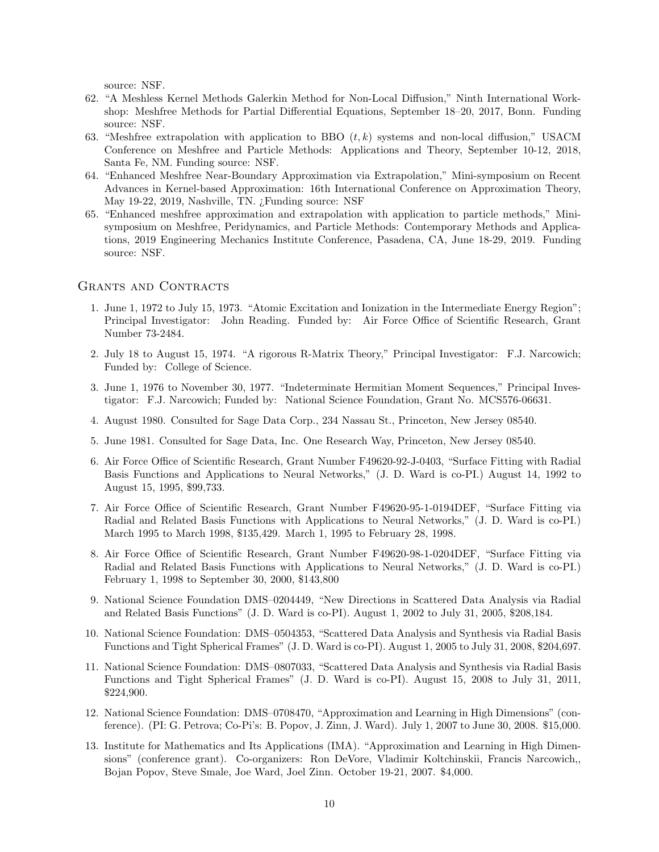source: NSF.

- 62. "A Meshless Kernel Methods Galerkin Method for Non-Local Diffusion," Ninth International Workshop: Meshfree Methods for Partial Differential Equations, September 18–20, 2017, Bonn. Funding source: NSF.
- 63. "Meshfree extrapolation with application to BBO  $(t, k)$  systems and non-local diffusion," USACM Conference on Meshfree and Particle Methods: Applications and Theory, September 10-12, 2018, Santa Fe, NM. Funding source: NSF.
- 64. "Enhanced Meshfree Near-Boundary Approximation via Extrapolation," Mini-symposium on Recent Advances in Kernel-based Approximation: 16th International Conference on Approximation Theory, May 19-22, 2019, Nashville, TN. ¿Funding source: NSF
- 65. "Enhanced meshfree approximation and extrapolation with application to particle methods," Minisymposium on Meshfree, Peridynamics, and Particle Methods: Contemporary Methods and Applications, 2019 Engineering Mechanics Institute Conference, Pasadena, CA, June 18-29, 2019. Funding source: NSF.

#### GRANTS AND CONTRACTS

- 1. June 1, 1972 to July 15, 1973. "Atomic Excitation and Ionization in the Intermediate Energy Region"; Principal Investigator: John Reading. Funded by: Air Force Office of Scientific Research, Grant Number 73-2484.
- 2. July 18 to August 15, 1974. "A rigorous R-Matrix Theory," Principal Investigator: F.J. Narcowich; Funded by: College of Science.
- 3. June 1, 1976 to November 30, 1977. "Indeterminate Hermitian Moment Sequences," Principal Investigator: F.J. Narcowich; Funded by: National Science Foundation, Grant No. MCS576-06631.
- 4. August 1980. Consulted for Sage Data Corp., 234 Nassau St., Princeton, New Jersey 08540.
- 5. June 1981. Consulted for Sage Data, Inc. One Research Way, Princeton, New Jersey 08540.
- 6. Air Force Office of Scientific Research, Grant Number F49620-92-J-0403, "Surface Fitting with Radial Basis Functions and Applications to Neural Networks," (J. D. Ward is co-PI.) August 14, 1992 to August 15, 1995, \$99,733.
- 7. Air Force Office of Scientific Research, Grant Number F49620-95-1-0194DEF, "Surface Fitting via Radial and Related Basis Functions with Applications to Neural Networks," (J. D. Ward is co-PI.) March 1995 to March 1998, \$135,429. March 1, 1995 to February 28, 1998.
- 8. Air Force Office of Scientific Research, Grant Number F49620-98-1-0204DEF, "Surface Fitting via Radial and Related Basis Functions with Applications to Neural Networks," (J. D. Ward is co-PI.) February 1, 1998 to September 30, 2000, \$143,800
- 9. National Science Foundation DMS–0204449, "New Directions in Scattered Data Analysis via Radial and Related Basis Functions" (J. D. Ward is co-PI). August 1, 2002 to July 31, 2005, \$208,184.
- 10. National Science Foundation: DMS–0504353, "Scattered Data Analysis and Synthesis via Radial Basis Functions and Tight Spherical Frames" (J. D. Ward is co-PI). August 1, 2005 to July 31, 2008, \$204,697.
- 11. National Science Foundation: DMS–0807033, "Scattered Data Analysis and Synthesis via Radial Basis Functions and Tight Spherical Frames" (J. D. Ward is co-PI). August 15, 2008 to July 31, 2011, \$224,900.
- 12. National Science Foundation: DMS–0708470, "Approximation and Learning in High Dimensions" (conference). (PI: G. Petrova; Co-Pi's: B. Popov, J. Zinn, J. Ward). July 1, 2007 to June 30, 2008. \$15,000.
- 13. Institute for Mathematics and Its Applications (IMA). "Approximation and Learning in High Dimensions" (conference grant). Co-organizers: Ron DeVore, Vladimir Koltchinskii, Francis Narcowich,, Bojan Popov, Steve Smale, Joe Ward, Joel Zinn. October 19-21, 2007. \$4,000.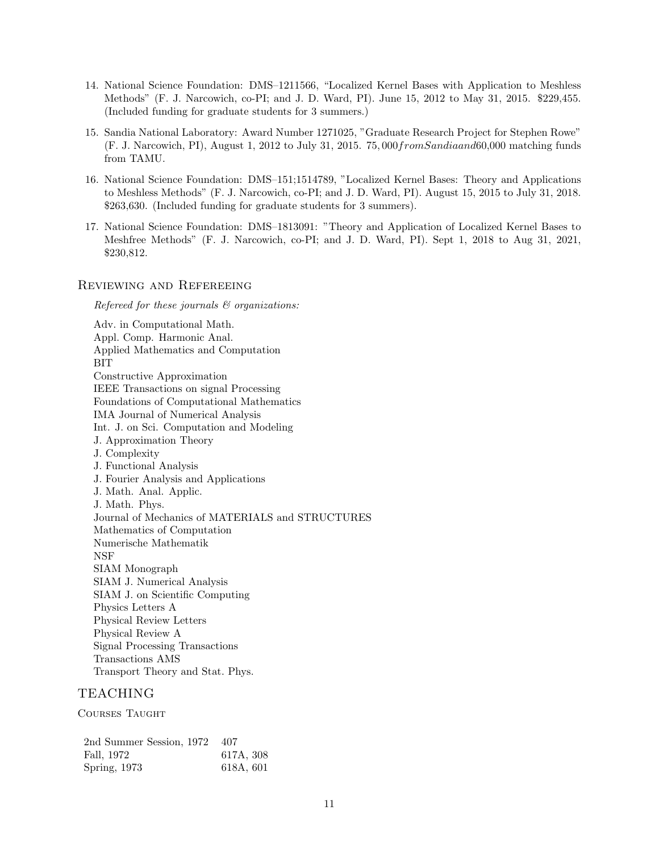- 14. National Science Foundation: DMS–1211566, "Localized Kernel Bases with Application to Meshless Methods" (F. J. Narcowich, co-PI; and J. D. Ward, PI). June 15, 2012 to May 31, 2015. \$229,455. (Included funding for graduate students for 3 summers.)
- 15. Sandia National Laboratory: Award Number 1271025, "Graduate Research Project for Stephen Rowe" (F. J. Narcowich, PI), August 1, 2012 to July 31, 2015. 75, 000fromSandiaand60,000 matching funds from TAMU.
- 16. National Science Foundation: DMS–151;1514789, "Localized Kernel Bases: Theory and Applications to Meshless Methods" (F. J. Narcowich, co-PI; and J. D. Ward, PI). August 15, 2015 to July 31, 2018. \$263,630. (Included funding for graduate students for 3 summers).
- 17. National Science Foundation: DMS–1813091: "Theory and Application of Localized Kernel Bases to Meshfree Methods" (F. J. Narcowich, co-PI; and J. D. Ward, PI). Sept 1, 2018 to Aug 31, 2021, \$230,812.

### Reviewing and Refereeing

Refereed for these journals & organizations:

Adv. in Computational Math. Appl. Comp. Harmonic Anal. Applied Mathematics and Computation BIT Constructive Approximation IEEE Transactions on signal Processing Foundations of Computational Mathematics IMA Journal of Numerical Analysis Int. J. on Sci. Computation and Modeling J. Approximation Theory J. Complexity J. Functional Analysis J. Fourier Analysis and Applications J. Math. Anal. Applic. J. Math. Phys. Journal of Mechanics of MATERIALS and STRUCTURES Mathematics of Computation Numerische Mathematik NSF SIAM Monograph SIAM J. Numerical Analysis SIAM J. on Scientific Computing Physics Letters A Physical Review Letters Physical Review A Signal Processing Transactions Transactions AMS Transport Theory and Stat. Phys.

# TEACHING

Courses Taught

| 2nd Summer Session, 1972 | - 407     |
|--------------------------|-----------|
| Fall, 1972               | 617A, 308 |
| Spring, 1973             | 618A, 601 |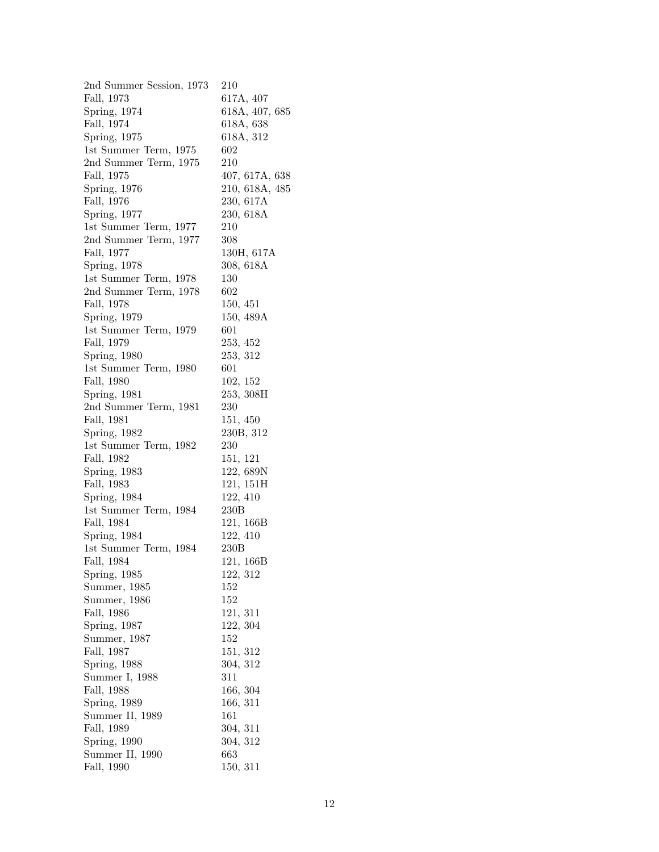| 2nd Summer Session, 1973            | 210            |
|-------------------------------------|----------------|
| Fall, 1973                          | 617A, 407      |
| Spring, 1974                        | 618A, 407, 685 |
| Fall, 1974                          | 618A, 638      |
| Spring, 1975                        | 618A, 312      |
| 1st Summer Term, 1975               | 602            |
| $2nd$ Summer Term, $1975$           | 210            |
| Fall, 1975                          | 407, 617A, 638 |
| Spring, 1976                        | 210, 618A, 485 |
| Fall, 1976                          | 230, 617A      |
| Spring, 1977                        | 230, 618A      |
| 1st Summer Term, 1977               | 210            |
| 2nd Summer Term, 1977               | 308            |
| Fall, 1977                          | 130H, 617A     |
| Spring, 1978                        | 308, 618A      |
| 1st Summer Term, 1978               | 130            |
| 2nd Summer Term, 1978               | 602            |
| Fall, 1978                          | 150, 451       |
| Spring, 1979                        | 150, 489A      |
|                                     | 601            |
| 1st Summer Term, 1979<br>Fall, 1979 | 253, 452       |
|                                     |                |
| Spring, 1980                        | 253, 312       |
| 1st Summer Term, 1980               | 601            |
| Fall, 1980                          | 102, 152       |
| Spring, 1981                        | 253, 308H      |
| 2nd Summer Term, 1981               | 230            |
| Fall, 1981                          | 151, 450       |
| Spring, 1982                        | 230B, 312      |
| 1st Summer Term, 1982               | 230            |
| Fall, 1982                          | 151, 121       |
| Spring, 1983                        | 122, 689N      |
| Fall, 1983                          | 121, 151H      |
| Spring, 1984                        | 122, 410       |
| 1st Summer Term, 1984               | 230B           |
| Fall, 1984                          | 121, 166B      |
| Spring, 1984                        | 122, 410       |
| 1st Summer Term, 1984               | 230B           |
| Fall, 1984                          | 121, 166B      |
| Spring, 1985                        | 122, 312       |
| Summer, 1985                        | 152            |
| Summer, 1986                        | 152            |
| Fall, 1986                          | 121, 311       |
| Spring, 1987                        | 122, 304       |
| Summer, 1987                        | 152            |
| Fall, 1987                          | 151, 312       |
| Spring, 1988                        | 304, 312       |
| Summer I, 1988                      | 311            |
| Fall, 1988                          | 166, 304       |
| Spring, 1989                        | 166, 311       |
| Summer II, 1989                     | 161            |
| Fall, 1989                          | 304, 311       |
| Spring, 1990                        | 304, 312       |
| Summer II, 1990                     | 663            |
| Fall, 1990                          | 150, 311       |
|                                     |                |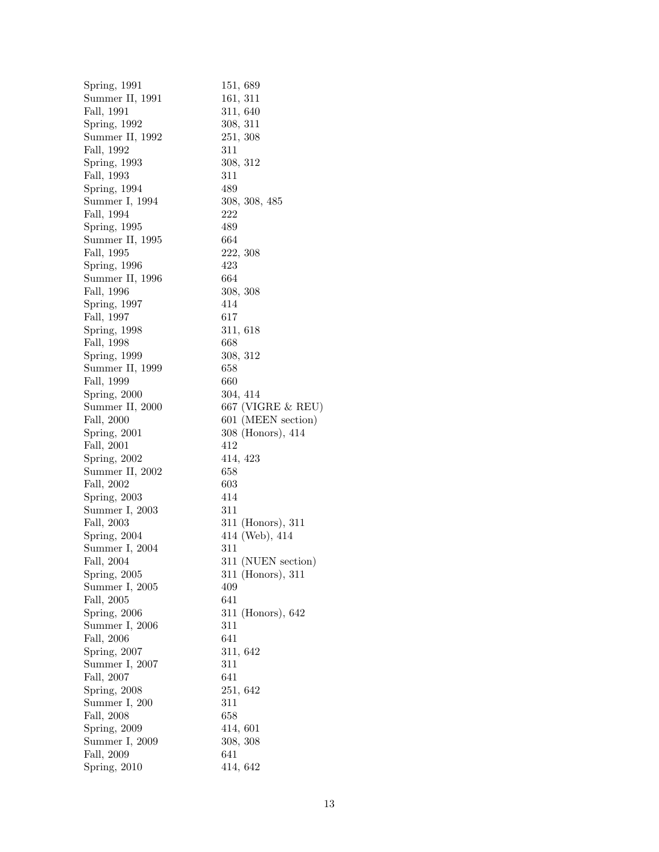| Spring, 1991    | 151, 689           |
|-----------------|--------------------|
| Summer II, 1991 | 161, 311           |
| Fall, 1991      | 311, 640           |
| Spring, 1992    | 308, 311           |
| Summer II, 1992 | 251, 308           |
| Fall, 1992      | 311                |
| Spring, 1993    | 308, 312           |
| Fall, 1993      | 311                |
| Spring, 1994    | 489                |
| Summer I, 1994  | 308, 308, 485      |
| Fall, 1994      | 222                |
| Spring, 1995    | 489                |
| Summer II, 1995 | 664                |
| Fall, 1995      | 222, 308           |
| Spring, 1996    | 423                |
| Summer II, 1996 | 664                |
| Fall, 1996      | 308, 308           |
| Spring, 1997    | 414                |
| Fall, 1997      | 617                |
| Spring, 1998    | 311, 618           |
| Fall, 1998      | 668                |
| Spring, 1999    | 308, 312           |
| Summer II, 1999 | 658                |
| Fall, 1999      | 660                |
| Spring, 2000    | 304, 414           |
| Summer II, 2000 | 667 (VIGRE & REU)  |
| Fall, 2000      | 601 (MEEN section) |
| Spring, 2001    | 308 (Honors), 414  |
| Fall, 2001      | 412                |
| Spring, 2002    | 414, 423           |
| Summer II, 2002 | 658                |
| Fall, 2002      | 603                |
| Spring, 2003    | 414                |
| Summer I, 2003  | 311                |
| Fall, 2003      | 311 (Honors), 311  |
| Spring, 2004    | 414 (Web), 414     |
| Summer I, 2004  | 311                |
| Fall. 2004      | 311 (NUEN section) |
| Spring, 2005    | 311 (Honors), 311  |
| Summer I, 2005  | 409                |
| Fall, 2005      | 641                |
| Spring, 2006    | 311 (Honors), 642  |
| Summer I, 2006  | 311                |
| Fall, 2006      | 641                |
| Spring, 2007    | 311, 642           |
| Summer I, 2007  | 311                |
| Fall, 2007      | 641                |
| Spring, 2008    | 251, 642           |
| Summer I, 200   | 311                |
| Fall, 2008      | 658                |
| Spring, 2009    | 414, 601           |
| Summer I, 2009  | 308, 308           |
| Fall, 2009      | 641                |
| Spring, 2010    | 414, 642           |
|                 |                    |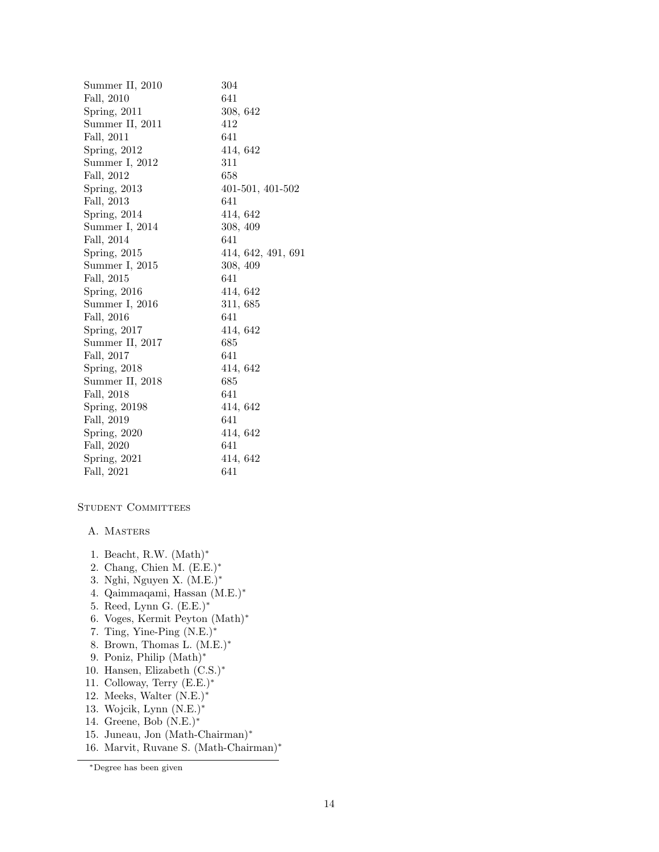| Summer II, 2010 | 304                |
|-----------------|--------------------|
| Fall, 2010      | 641                |
| Spring, $2011$  | 308, 642           |
| Summer II, 2011 | 412                |
| Fall, 2011      | 641                |
| Spring, 2012    | 414, 642           |
| Summer I, 2012  | 311                |
| Fall, 2012      | 658                |
| Spring, 2013    | 401-501, 401-502   |
| Fall, 2013      | 641                |
| Spring, 2014    | 414, 642           |
| Summer I, 2014  | 308, 409           |
| Fall, 2014      | 641                |
| Spring, $2015$  | 414, 642, 491, 691 |
| Summer I, 2015  | 308, 409           |
| Fall, 2015      | 641                |
| Spring, $2016$  | 414, 642           |
| Summer I, 2016  | 311, 685           |
| Fall, 2016      | 641                |
| Spring, 2017    | 414, 642           |
| Summer II, 2017 | 685                |
| Fall, 2017      | 641                |
| Spring, 2018    | 414, 642           |
| Summer II, 2018 | 685                |
| Fall, 2018      | 641                |
| Spring, 20198   | 414, 642           |
| Fall, 2019      | 641                |
| Spring, $2020$  | 414, 642           |
| Fall, 2020      | 641                |
| Spring, $2021$  | 414, 642           |
| Fall, 2021      | 641                |
|                 |                    |

#### STUDENT COMMITTEES

#### A. Masters

- 1. Beacht, R.W. (Math)<sup>∗</sup>
- 2. Chang, Chien M. (E.E.)<sup>∗</sup>
- 3. Nghi, Nguyen X. (M.E.)<sup>∗</sup>
- 4. Qaimmaqami, Hassan (M.E.)<sup>∗</sup>
- 5. Reed, Lynn G. (E.E.)<sup>∗</sup>
- 6. Voges, Kermit Peyton (Math)<sup>∗</sup>
- 7. Ting, Yine-Ping (N.E.)<sup>∗</sup>
- 8. Brown, Thomas L. (M.E.)<sup>∗</sup>
- 9. Poniz, Philip (Math)<sup>∗</sup>
- 10. Hansen, Elizabeth (C.S.)<sup>∗</sup>
- 11. Colloway, Terry (E.E.)<sup>∗</sup>
- 12. Meeks, Walter (N.E.)<sup>∗</sup>
- 13. Wojcik, Lynn (N.E.)<sup>∗</sup>
- 14. Greene, Bob (N.E.)<sup>∗</sup>
- 15. Juneau, Jon (Math-Chairman)<sup>∗</sup>
- 16. Marvit, Ruvane S. (Math-Chairman)<sup>∗</sup>

<sup>∗</sup>Degree has been given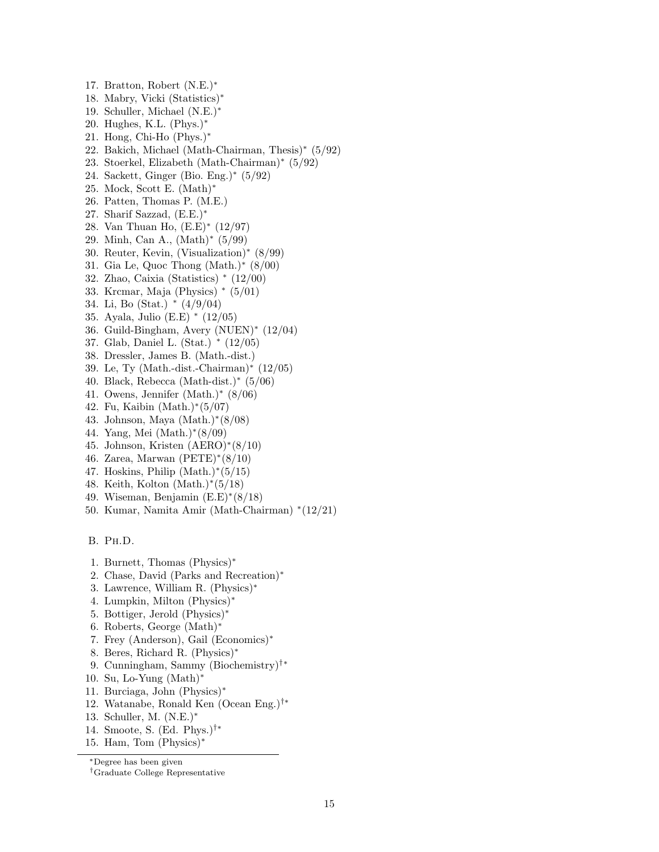- 17. Bratton, Robert (N.E.)<sup>∗</sup>
- 18. Mabry, Vicki (Statistics)<sup>∗</sup>
- 19. Schuller, Michael (N.E.)<sup>∗</sup>
- 20. Hughes, K.L. (Phys.)<sup>∗</sup>
- 21. Hong, Chi-Ho (Phys.)<sup>∗</sup>
- 22. Bakich, Michael (Math-Chairman, Thesis)<sup>∗</sup> (5/92)
- 23. Stoerkel, Elizabeth (Math-Chairman)<sup>∗</sup> (5/92)
- 24. Sackett, Ginger (Bio. Eng.)<sup>∗</sup> (5/92)
- 25. Mock, Scott E. (Math)<sup>∗</sup>
- 26. Patten, Thomas P. (M.E.)
- 27. Sharif Sazzad, (E.E.)<sup>∗</sup>
- 28. Van Thuan Ho, (E.E)<sup>∗</sup> (12/97)
- 29. Minh, Can A., (Math)<sup>∗</sup> (5/99)
- 30. Reuter, Kevin, (Visualization)<sup>∗</sup> (8/99)
- 31. Gia Le, Quoc Thong (Math.)<sup>∗</sup> (8/00)
- 32. Zhao, Caixia (Statistics) <sup>∗</sup> (12/00)
- 33. Krcmar, Maja (Physics) <sup>∗</sup> (5/01)
- 34. Li, Bo (Stat.) <sup>∗</sup> (4/9/04)
- 35. Ayala, Julio (E.E) <sup>∗</sup> (12/05)
- 36. Guild-Bingham, Avery (NUEN)<sup>∗</sup> (12/04)
- 37. Glab, Daniel L. (Stat.) <sup>∗</sup> (12/05)
- 38. Dressler, James B. (Math.-dist.)
- 39. Le, Ty (Math.-dist.-Chairman)<sup>∗</sup> (12/05)
- 40. Black, Rebecca (Math-dist.)<sup>∗</sup> (5/06)
- 41. Owens, Jennifer (Math.)<sup>∗</sup> (8/06)
- 42. Fu, Kaibin (Math.)<sup>∗</sup> (5/07)
- 43. Johnson, Maya (Math.)<sup>∗</sup> (8/08)
- 44. Yang, Mei (Math.)<sup>∗</sup> (8/09)
- 45. Johnson, Kristen (AERO)<sup>∗</sup> (8/10)
- 46. Zarea, Marwan (PETE)<sup>∗</sup> (8/10)
- 47. Hoskins, Philip (Math.)<sup>∗</sup> (5/15)
- 48. Keith, Kolton (Math.)<sup>∗</sup> (5/18)
- 49. Wiseman, Benjamin (E.E)<sup>∗</sup> (8/18)
- 50. Kumar, Namita Amir (Math-Chairman) <sup>∗</sup> (12/21)

B. Ph.D.

- 1. Burnett, Thomas (Physics)<sup>∗</sup>
- 2. Chase, David (Parks and Recreation)<sup>∗</sup>
- 3. Lawrence, William R. (Physics)<sup>∗</sup>
- 4. Lumpkin, Milton (Physics)<sup>∗</sup>
- 5. Bottiger, Jerold (Physics)<sup>∗</sup>
- 6. Roberts, George (Math)<sup>∗</sup>
- 7. Frey (Anderson), Gail (Economics)<sup>∗</sup>
- 8. Beres, Richard R. (Physics)<sup>∗</sup>
- 9. Cunningham, Sammy (Biochemistry)†∗
- 10. Su, Lo-Yung (Math)<sup>∗</sup>
- 11. Burciaga, John (Physics)<sup>∗</sup>
- 12. Watanabe, Ronald Ken (Ocean Eng.)†∗
- 13. Schuller, M. (N.E.)<sup>∗</sup>
- 14. Smoote, S. (Ed. Phys.)†∗
- 15. Ham, Tom (Physics)<sup>∗</sup>

<sup>∗</sup>Degree has been given

<sup>†</sup>Graduate College Representative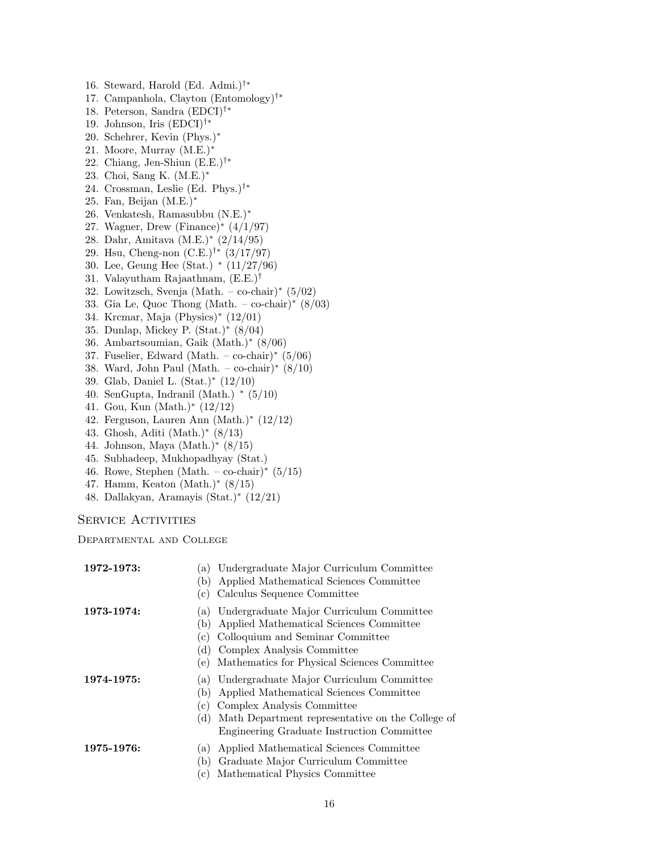16. Steward, Harold (Ed. Admi.)†∗ 17. Campanhola, Clayton (Entomology)†∗ 18. Peterson, Sandra (EDCI)†∗ 19. Johnson, Iris (EDCI)†∗ 20. Schehrer, Kevin (Phys.)<sup>∗</sup> 21. Moore, Murray (M.E.)<sup>∗</sup> 22. Chiang, Jen-Shiun (E.E.)†∗ 23. Choi, Sang K. (M.E.)<sup>∗</sup> 24. Crossman, Leslie (Ed. Phys.)†∗ 25. Fan, Beijan (M.E.)<sup>∗</sup> 26. Venkatesh, Ramasubbu (N.E.)<sup>∗</sup> 27. Wagner, Drew (Finance)<sup>∗</sup> (4/1/97) 28. Dahr, Amitava (M.E.)<sup>∗</sup> (2/14/95) 29. Hsu, Cheng-non (C.E.)†∗ (3/17/97) 30. Lee, Geung Hee (Stat.) <sup>∗</sup> (11/27/96) 31. Valayutham Rajaathnam,  $(E.E.)^{\dagger}$ 32. Lowitzsch, Svenja (Math. – co-chair)<sup>∗</sup> (5/02) 33. Gia Le, Quoc Thong (Math. – co-chair)\*  $(8/03)$ 34. Krcmar, Maja (Physics)<sup>∗</sup> (12/01) 35. Dunlap, Mickey P. (Stat.)<sup>∗</sup> (8/04) 36. Ambartsoumian, Gaik (Math.)<sup>∗</sup> (8/06) 37. Fuselier, Edward (Math. – co-chair)<sup>∗</sup> (5/06) 38. Ward, John Paul (Math. – co-chair)<sup>∗</sup> (8/10) 39. Glab, Daniel L. (Stat.)<sup>∗</sup> (12/10) 40. SenGupta, Indranil (Math.) \*  $(5/10)$ 41. Gou, Kun (Math.)<sup>∗</sup> (12/12) 42. Ferguson, Lauren Ann (Math.)<sup>∗</sup> (12/12)

- 43. Ghosh, Aditi (Math.)<sup>∗</sup> (8/13)
- 44. Johnson, Maya (Math.)<sup>∗</sup> (8/15)
- 45. Subhadeep, Mukhopadhyay (Stat.)
- 46. Rowe, Stephen (Math. co-chair)\*  $(5/15)$
- 47. Hamm, Keaton (Math.)<sup>∗</sup> (8/15)
- 48. Dallakyan, Aramayis (Stat.)<sup>∗</sup> (12/21)

SERVICE ACTIVITIES

Departmental and College

| 1972-1973: | Undergraduate Major Curriculum Committee<br>a)<br>Applied Mathematical Sciences Committee<br>(b)<br>Calculus Sequence Committee<br>(c)                                                                                                                     |
|------------|------------------------------------------------------------------------------------------------------------------------------------------------------------------------------------------------------------------------------------------------------------|
| 1973-1974: | Undergraduate Major Curriculum Committee<br>a)<br>Applied Mathematical Sciences Committee<br>(b<br>Colloquium and Seminar Committee<br>$\mathbf{c}$ )<br>Complex Analysis Committee<br>$\mathbf d$<br>Mathematics for Physical Sciences Committee<br>(e)   |
| 1974-1975: | Undergraduate Major Curriculum Committee<br>(a)<br>Applied Mathematical Sciences Committee<br>(b)<br>Complex Analysis Committee<br>$\mathbf{c}$ )<br>Math Department representative on the College of<br>(d)<br>Engineering Graduate Instruction Committee |
| 1975-1976: | Applied Mathematical Sciences Committee<br>a)<br>Graduate Major Curriculum Committee<br>(b)<br>Mathematical Physics Committee<br>(c)                                                                                                                       |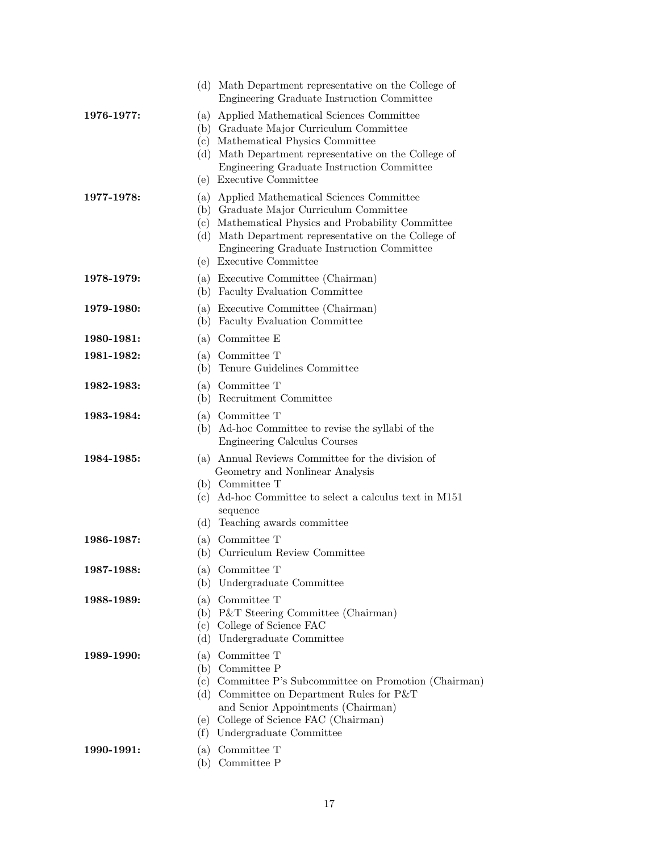|            | (d) Math Department representative on the College of<br>Engineering Graduate Instruction Committee                                                                                                                                                                            |
|------------|-------------------------------------------------------------------------------------------------------------------------------------------------------------------------------------------------------------------------------------------------------------------------------|
| 1976-1977: | (a) Applied Mathematical Sciences Committee<br>(b) Graduate Major Curriculum Committee<br>(c) Mathematical Physics Committee<br>(d) Math Department representative on the College of<br>Engineering Graduate Instruction Committee<br>(e) Executive Committee                 |
| 1977-1978: | (a) Applied Mathematical Sciences Committee<br>(b) Graduate Major Curriculum Committee<br>(c) Mathematical Physics and Probability Committee<br>(d) Math Department representative on the College of<br>Engineering Graduate Instruction Committee<br>(e) Executive Committee |
| 1978-1979: | (a) Executive Committee (Chairman)<br>(b) Faculty Evaluation Committee                                                                                                                                                                                                        |
| 1979-1980: | (a) Executive Committee (Chairman)<br>(b) Faculty Evaluation Committee                                                                                                                                                                                                        |
| 1980-1981: | (a) Committee E                                                                                                                                                                                                                                                               |
| 1981-1982: | (a) Committee T<br>Tenure Guidelines Committee<br>(b)                                                                                                                                                                                                                         |
| 1982-1983: | (a) Committee T<br>(b) Recruitment Committee                                                                                                                                                                                                                                  |
| 1983-1984: | (a) Committee T<br>(b) Ad-hoc Committee to revise the syllabi of the<br>Engineering Calculus Courses                                                                                                                                                                          |
| 1984-1985: | (a) Annual Reviews Committee for the division of<br>Geometry and Nonlinear Analysis<br>(b) Committee T<br>(c) Ad-hoc Committee to select a calculus text in M151<br>sequence<br>Teaching awards committee<br>(d)                                                              |
| 1986-1987: | (a) Committee T<br>(b) Curriculum Review Committee                                                                                                                                                                                                                            |
| 1987-1988: | (a) Committee T<br>Undergraduate Committee<br>(b)                                                                                                                                                                                                                             |
| 1988-1989: | Committee T<br>(a)<br>(b) P&T Steering Committee (Chairman)<br>(c) College of Science FAC<br>Undergraduate Committee<br>(d)                                                                                                                                                   |
| 1989-1990: | Committee T<br>(a)<br>(b) Committee P<br>(c) Committee P's Subcommittee on Promotion (Chairman)<br>(d) Committee on Department Rules for $P&T$<br>and Senior Appointments (Chairman)<br>(e) College of Science FAC (Chairman)<br>Undergraduate Committee<br>(f)               |
| 1990-1991: | (a) Committee T<br>Committee P<br>(b)                                                                                                                                                                                                                                         |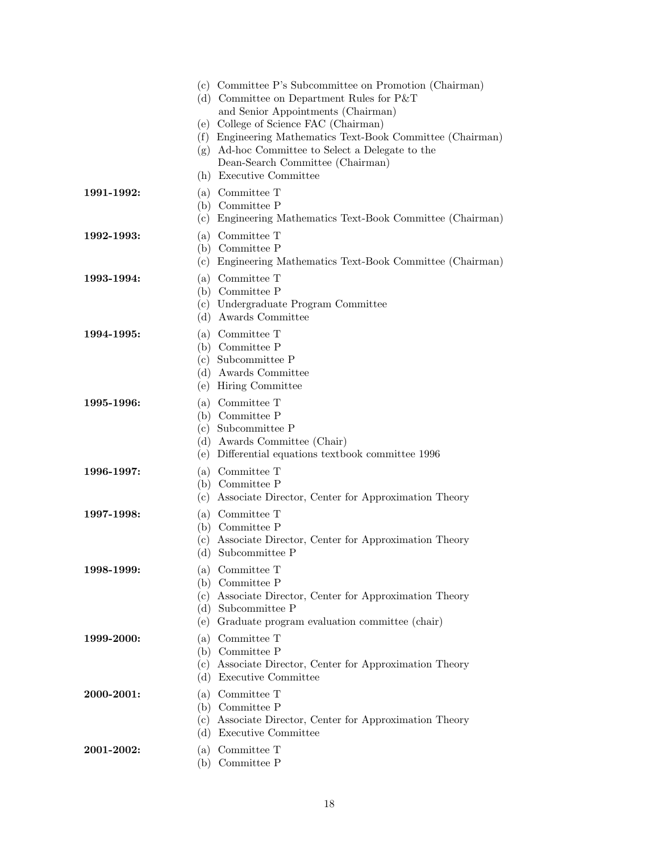|            |                          | (c) Committee P's Subcommittee on Promotion (Chairman)<br>(d) Committee on Department Rules for $P&T$<br>and Senior Appointments (Chairman)<br>(e) College of Science FAC (Chairman)<br>(f) Engineering Mathematics Text-Book Committee (Chairman)<br>(g) Ad-hoc Committee to Select a Delegate to the<br>Dean-Search Committee (Chairman)<br>(h) Executive Committee |
|------------|--------------------------|-----------------------------------------------------------------------------------------------------------------------------------------------------------------------------------------------------------------------------------------------------------------------------------------------------------------------------------------------------------------------|
| 1991-1992: | (c)                      | (a) Committee T<br>(b) Committee P<br>Engineering Mathematics Text-Book Committee (Chairman)                                                                                                                                                                                                                                                                          |
| 1992-1993: | (a)<br>(c)               | Committee T<br>(b) Committee P<br>Engineering Mathematics Text-Book Committee (Chairman)                                                                                                                                                                                                                                                                              |
| 1993-1994: | (d)                      | (a) Committee T<br>(b) Committee P<br>(c) Undergraduate Program Committee<br>Awards Committee                                                                                                                                                                                                                                                                         |
| 1994-1995: | (a)<br>(e)               | Committee T<br>(b) Committee P<br>(c) Subcommittee P<br>(d) Awards Committee<br>Hiring Committee                                                                                                                                                                                                                                                                      |
| 1995-1996: | (e)                      | (a) Committee T<br>(b) Committee P<br>(c) Subcommittee P<br>(d) Awards Committee (Chair)<br>Differential equations textbook committee 1996                                                                                                                                                                                                                            |
| 1996-1997: | (c)                      | (a) Committee T<br>(b) Committee P<br>Associate Director, Center for Approximation Theory                                                                                                                                                                                                                                                                             |
| 1997-1998: | (a)<br>(b)<br>(c)<br>(d) | Committee T<br>Committee P<br>Associate Director, Center for Approximation Theory<br>Subcommittee P                                                                                                                                                                                                                                                                   |
| 1998-1999: | (c)<br>(e)               | (a) Committee T<br>(b) Committee P<br>Associate Director, Center for Approximation Theory<br>(d) Subcommittee P<br>Graduate program evaluation committee (chair)                                                                                                                                                                                                      |
| 1999-2000: | (a)<br>(c)<br>(d)        | Committee $\mathcal T$<br>(b) Committee P<br>Associate Director, Center for Approximation Theory<br>Executive Committee                                                                                                                                                                                                                                               |
| 2000-2001: | (a)<br>(c)<br>(d)        | Committee T<br>(b) Committee P<br>Associate Director, Center for Approximation Theory<br>Executive Committee                                                                                                                                                                                                                                                          |
| 2001-2002: | (a)                      | Committee T<br>(b) Committee P                                                                                                                                                                                                                                                                                                                                        |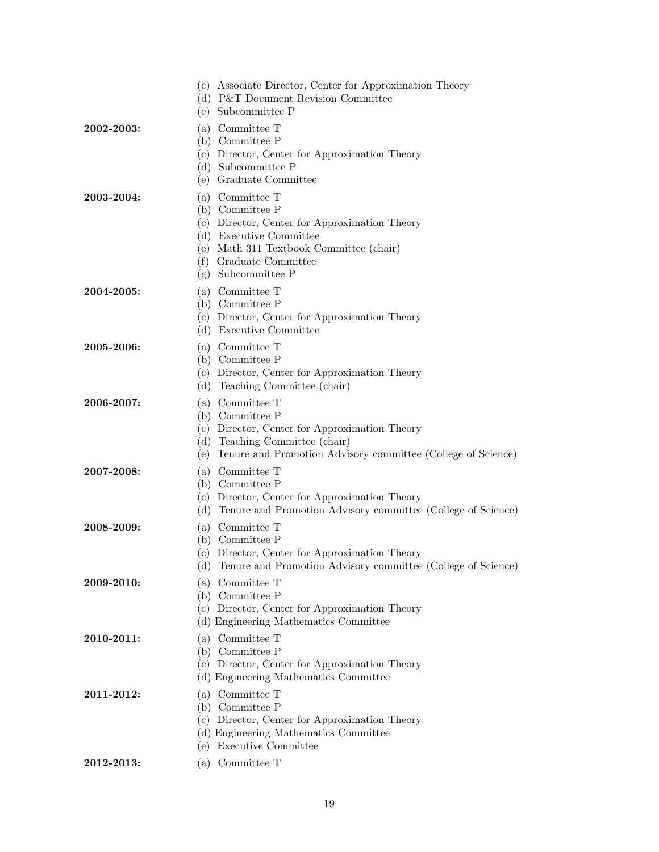|            | (c) Associate Director, Center for Approximation Theory<br>(d) P&T Document Revision Committee<br>(e) Subcommittee P                                                                                        |
|------------|-------------------------------------------------------------------------------------------------------------------------------------------------------------------------------------------------------------|
| 2002-2003: | (a) Committee T<br>(b) Committee P<br>(c) Director, Center for Approximation Theory<br>(d) Subcommittee P<br>(e) Graduate Committee                                                                         |
| 2003-2004: | (a) Committee T<br>(b) Committee P<br>(c) Director, Center for Approximation Theory<br>(d) Executive Committee<br>(e) Math 311 Textbook Committee (chair)<br>(f) Graduate Committee<br>$(g)$ Subcommittee P |
| 2004-2005: | (a) Committee T<br>(b) Committee P<br>(c) Director, Center for Approximation Theory<br>(d) Executive Committee                                                                                              |
| 2005-2006: | (a) Committee T<br>(b) Committee P<br>(c) Director, Center for Approximation Theory<br>(d) Teaching Committee (chair)                                                                                       |
| 2006-2007: | (a) Committee T<br>(b) Committee P<br>(c) Director, Center for Approximation Theory<br>(d) Teaching Committee (chair)<br>Tenure and Promotion Advisory committee (College of Science)<br>(e)                |
| 2007-2008: | (a) Committee T<br>(b) Committee P<br>(c) Director, Center for Approximation Theory<br>(d) Tenure and Promotion Advisory committee (College of Science)                                                     |
| 2008-2009: | (a) Committee T<br>(b) Committee P<br>(c) Director, Center for Approximation Theory<br>Tenure and Promotion Advisory committee (College of Science)<br>(d)                                                  |
| 2009-2010: | Committee T<br>(a)<br>(b) Committee P<br>(c) Director, Center for Approximation Theory<br>(d) Engineering Mathematics Committee                                                                             |
| 2010-2011: | Committee T<br>(a)<br>(b) Committee P<br>(c) Director, Center for Approximation Theory<br>(d) Engineering Mathematics Committee                                                                             |
| 2011-2012: | (a) Committee T<br>(b) Committee P<br>(c) Director, Center for Approximation Theory<br>(d) Engineering Mathematics Committee<br>(e) Executive Committee                                                     |
| 2012-2013: | (a) Committee T                                                                                                                                                                                             |